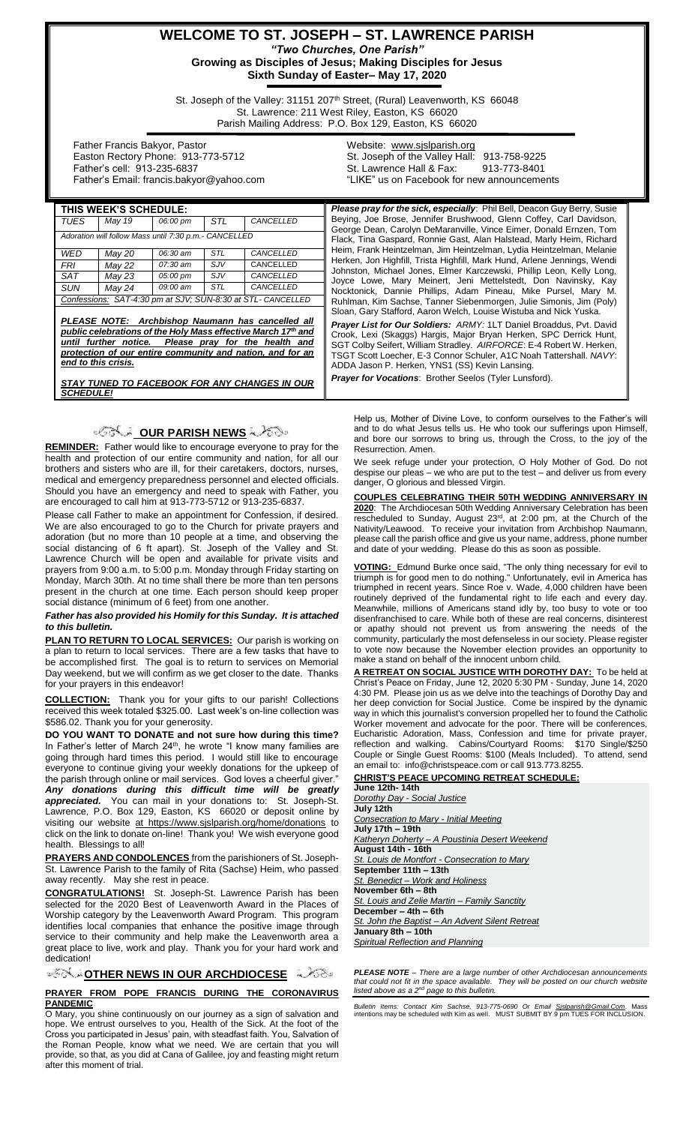## **WELCOME TO ST. JOSEPH – ST. LAWRENCE PARISH** *"Two Churches, One Parish"* **Growing as Disciples of Jesus; Making Disciples for Jesus**

**Sixth Sunday of Easter– May 17, 2020**

St. Joseph of the Valley: 31151 207<sup>th</sup> Street, (Rural) Leavenworth, KS 66048 St. Lawrence: 211 West Riley, Easton, KS 66020 Parish Mailing Address: P.O. Box 129, Easton, KS 66020

 Father Francis Bakyor, Pastor Easton Rectory Phone: 913-773-5712 Father's cell: 913-235-6837 Father's Email: francis.bakyor@yahoo.com Website: [www.sjslparish.org](http://www.sjslparish.org/) St. Joseph of the Valley Hall: 913-758-9225 St. Lawrence Hall & Fax: "LIKE" us on Facebook for new announcements

| THIS WEEK'S SCHEDULE:                                                                                                                                                                                                                                                         |        |          |            |           | Please pray for the sick, especially: Phil Bell, Deacon Guy Berry, Susie                                                                                                                                                                                                                                                                                    |
|-------------------------------------------------------------------------------------------------------------------------------------------------------------------------------------------------------------------------------------------------------------------------------|--------|----------|------------|-----------|-------------------------------------------------------------------------------------------------------------------------------------------------------------------------------------------------------------------------------------------------------------------------------------------------------------------------------------------------------------|
| TUES                                                                                                                                                                                                                                                                          | May 19 | 06:00 pm | STL        | CANCELLED | Beying, Joe Brose, Jennifer Brushwood, Glenn Coffey, Carl Davidson,                                                                                                                                                                                                                                                                                         |
| Adoration will follow Mass until 7:30 p.m.- CANCELLED                                                                                                                                                                                                                         |        |          |            |           | George Dean, Carolyn DeMaranville, Vince Eimer, Donald Ernzen, Tom<br>Flack, Tina Gaspard, Ronnie Gast, Alan Halstead, Marly Heim, Richard                                                                                                                                                                                                                  |
| WED                                                                                                                                                                                                                                                                           | May 20 | 06:30 am | <b>STL</b> | CANCELLED | Heim, Frank Heintzelman, Jim Heintzelman, Lydia Heintzelman, Melanie<br>Herken, Jon Highfill, Trista Highfill, Mark Hund, Arlene Jennings, Wendi<br>Johnston, Michael Jones, Elmer Karczewski, Phillip Leon, Kelly Long,<br>Joyce Lowe, Mary Meinert, Jeni Mettelstedt, Don Navinsky, Kay<br>Nocktonick, Dannie Phillips, Adam Pineau, Mike Pursel, Mary M. |
| FRI                                                                                                                                                                                                                                                                           | May 22 | 07:30 am | SJV        | CANCELLED |                                                                                                                                                                                                                                                                                                                                                             |
| SAT                                                                                                                                                                                                                                                                           | May 23 | 05:00 pm | SJV        | CANCELLED |                                                                                                                                                                                                                                                                                                                                                             |
| <b>SUN</b>                                                                                                                                                                                                                                                                    | May 24 | 09:00 am | <b>STL</b> | CANCELLED |                                                                                                                                                                                                                                                                                                                                                             |
| Confessions: SAT-4:30 pm at SJV; SUN-8:30 at STL- CANCELLED                                                                                                                                                                                                                   |        |          |            |           | Ruhlman, Kim Sachse, Tanner Siebenmorgen, Julie Simonis, Jim (Poly)<br>Sloan, Gary Stafford, Aaron Welch, Louise Wistuba and Nick Yuska.                                                                                                                                                                                                                    |
|                                                                                                                                                                                                                                                                               |        |          |            |           |                                                                                                                                                                                                                                                                                                                                                             |
| PLEASE NOTE: Archbishop Naumann has cancelled all<br>public celebrations of the Holy Mass effective March 17 <sup>th</sup> and<br>until further notice.<br>Please pray for the health and<br>protection of our entire community and nation, and for an<br>end to this crisis. |        |          |            |           | Prayer List for Our Soldiers: ARMY: 1LT Daniel Broaddus, Pvt. David<br>Crook, Lexi (Skaggs) Hargis, Major Bryan Herken, SPC Derrick Hunt,<br>SGT Colby Seifert, William Stradley. AIRFORCE: E-4 Robert W. Herken,<br>TSGT Scott Loecher, E-3 Connor Schuler, A1C Noah Tattershall. NAVY:<br>ADDA Jason P. Herken, YNS1 (SS) Kevin Lansing.                  |
| STAY TUNED TO FACEBOOK FOR ANY CHANGES IN OUR<br><b>SCHEDULE!</b>                                                                                                                                                                                                             |        |          |            |           | <b>Prayer for Vocations:</b> Brother Seelos (Tyler Lunsford).                                                                                                                                                                                                                                                                                               |

# <u>ಿಂತಿಲ್ಲಿ OUR PARISH NEWS</u> ಎಂ

**REMINDER:** Father would like to encourage everyone to pray for the health and protection of our entire community and nation, for all our brothers and sisters who are ill, for their caretakers, doctors, nurses, medical and emergency preparedness personnel and elected officials. Should you have an emergency and need to speak with Father, you are encouraged to call him at 913-773-5712 or 913-235-6837.

Please call Father to make an appointment for Confession, if desired. We are also encouraged to go to the Church for private prayers and adoration (but no more than 10 people at a time, and observing the social distancing of 6 ft apart). St. Joseph of the Valley and St. Lawrence Church will be open and available for private visits and prayers from 9:00 a.m. to 5:00 p.m. Monday through Friday starting on Monday, March 30th. At no time shall there be more than ten persons present in the church at one time. Each person should keep proper social distance (minimum of 6 feet) from one another.

#### *Father has also provided his Homily for this Sunday. It is attached to this bulletin.*

**PLAN TO RETURN TO LOCAL SERVICES:** Our parish is working on a plan to return to local services. There are a few tasks that have to be accomplished first. The goal is to return to services on Memorial Day weekend, but we will confirm as we get closer to the date. Thanks for your prayers in this endeavor!

**COLLECTION:** Thank you for your gifts to our parish! Collections received this week totaled \$325.00. Last week's on-line collection was \$586.02. Thank you for your generosity.

**DO YOU WANT TO DONATE and not sure how during this time?** In Father's letter of March 24<sup>th</sup>, he wrote "I know many families are going through hard times this period. I would still like to encourage everyone to continue giving your weekly donations for the upkeep of the parish through online or mail services. God loves a cheerful giver.'

*Any donations during this difficult time will be greatly appreciated.* You can mail in your donations to: St. Joseph-St. Lawrence, P.O. Box 129, Easton, KS 66020 or deposit online by visiting our website at https://www.sjslparish.org/home/donations to click on the link to donate on-line! Thank you! We wish everyone good health.Blessings to all!

**PRAYERS AND CONDOLENCES** from the parishioners of St. Joseph-St. Lawrence Parish to the family of Rita (Sachse) Heim, who passed away recently. May she rest in peace.

**CONGRATULATIONS!** St. Joseph-St. Lawrence Parish has been selected for the 2020 Best of Leavenworth Award in the Places of Worship category by the Leavenworth Award Program. This program identifies local companies that enhance the positive image through service to their community and help make the Leavenworth area a great place to live, work and play. Thank you for your hard work and dedication!

**[O](http://www.google.com/url?sa=i&rct=j&q=&esrc=s&source=images&cd=&cad=rja&uact=8&ved=0CAcQjRxqFQoTCL3M6dfYlskCFQfIYwodK-sMqA&url=http://www.clipartpanda.com/categories/corner-scroll-design&psig=AFQjCNEcNGu-GRs-N_tcfj31hDOCKS7EqQ&ust=1447823402338642)THER NEWS IN OUR ARCHDIOCESE** A 268

#### **PRAYER FROM POPE FRANCIS DURING THE CORONAVIRUS PANDEMIC**

O Mary, you shine continuously on our journey as a sign of salvation and hope. We entrust ourselves to you, Health of the Sick. At the foot of the Cross you participated in Jesus' pain, with steadfast faith. You, Salvation of the Roman People, know what we need. We are certain that you will provide, so that, as you did at Cana of Galilee, joy and feasting might return .<br>after this moment of trial.

Help us, Mother of Divine Love, to conform ourselves to the Father's will and to do what Jesus tells us. He who took our sufferings upon Himself, and bore our sorrows to bring us, through the Cross, to the joy of the Resurrection. Amen.

We seek refuge under your protection, O Holy Mother of God. Do not despise our pleas – we who are put to the test – and deliver us from every danger, O glorious and blessed Virgin.

**COUPLES CELEBRATING THEIR 50TH WEDDING ANNIVERSARY IN 2020**: The Archdiocesan 50th Wedding Anniversary Celebration has been rescheduled to Sunday, August  $23<sup>rd</sup>$ , at  $2:00$  pm, at the Church of the Nativity/Leawood. To receive your invitation from Archbishop Naumann, please call the parish office and give us your name, address, phone number and date of your wedding. Please do this as soon as possible.

**VOTING:** Edmund Burke once said, "The only thing necessary for evil to triumph is for good men to do nothing." Unfortunately, evil in America has triumphed in recent years. Since Roe v. Wade, 4,000 children have been routinely deprived of the fundamental right to life each and every day. Meanwhile, millions of Americans stand idly by, too busy to vote or too disenfranchised to care. While both of these are real concerns, disinterest or apathy should not prevent us from answering the needs of the community, particularly the most defenseless in our society. Please register to vote now because the November election provides an opportunity to make a stand on behalf of the innocent unborn child.

**A RETREAT ON SOCIAL JUSTICE WITH DOROTHY DAY:** To be held at Christ's Peace on Friday, June 12, 2020 5:30 PM - Sunday, June 14, 2020 4:30 PM. Please join us as we delve into the teachings of Dorothy Day and her deep conviction for Social Justice. Come be inspired by the dynamic way in which this journalist's conversion propelled her to found the Catholic Worker movement and advocate for the poor. There will be conferences, Eucharistic Adoration, Mass, Confession and time for private prayer, reflection and walking. Cabins/Courtyard Rooms: \$170 Single/\$250 Couple or Single Guest Rooms: \$100 (Meals Included). To attend, send an email to: info@christspeace.com or call 913.773.8255.

**CHRIST'S PEACE UPCOMING RETREAT SCHEDULE: June 12th- 14th** *[Dorothy Day -](http://email-mg.flocknote.com/c/eJwlj0FuwyAQRU-Dd0YwGGMWLKJUuQcZILgmAYErq7cvdqXRn_dnM3rOKC5ATcNqgAFjknOu-DwxyqmUd9CTFpKxG58XQSYWUsbtk3dPMb-HaBRyYZcpaGTaA-iAyxOsCuACc1I8h2TivpdGxI3Ao89xHNRWjBtuNNdXv2ApZ8a6tr2NxVv0Y8w_zY85jKXaX19HtMl_nK1EPHB1RHyJhcCM_p-F4lerV2Unu73TTEBC4HCt026opn23VGz_FbvN623XdJr8AWiCTbU) Social Justice* **July 12th** *[Consecration to Mary -](http://email-mg.flocknote.com/c/eJwlj02OwyAMRk9DdonAQCALFlVHvYfLT8mEFgQZRXP7IRnJst9nybKeM4pxUGJYDVCgVDLGFJsFndgk5R0WsXBJ6Y3NmhNBQ8p2--TdTza_h2iklPYJzgV8iiA1qgXBcVx0vwKhxZBM3PfSCL8RePQ6jmPCauNmtynXV9_YUs4e69r2NhaP1o8x_zQ_5jCWir--jhaT_zishD_s6gj_4prAbP0_cyWvVK9IT3Z7J0VAQmBwjdNuqKZ9t1Sw_4rd5vXGNZ0mfzhHTWM) Initial Meeting* **July 17th – 19th** *Katheryn Doherty – [A Poustinia Desert Weekend](http://email-mg.flocknote.com/c/eJwlj0GOwyAMRU9DdiAwEMKCRTWj3oMQKJnQgoBRNLcf0kqW_b439tuMYhyUmHYDFCiVjDHFZkEJI1J-gRaaS0pvbF44EjSk7I5X7p64_Jyi0V5LBYIuQq5B6DUABOaDdYsNga52Sib2XhriNwT3Ued5EltdPNxBcn2MjSvl6rHurTdcvHUex_zbPM4Bl2r_fMXOJv_abEX87vYN8W--IJid_zBX8E71HenFWx-kEMjxzmdcdlM17aelYsetOGweT7uny-Qfhf5N8A)* **August 14th - 16th** *[St. Louis de Montfort -](http://email-mg.flocknote.com/c/eJwlj02OwyAMRk9DdonAhiQsWFSteg_CT8mEFgSporn9kIxk2e-zLFnPqokhTLxbFVCgVDDGJjZyOrBBiDtILlFQemPjjIRTH5PZPml3g0nvLig9zV6KhUp0HtCLRY7gRin4MoNemO2iCvueK8EbgWer4zgGXUzYzDak8mobk_PZQ1nrXvvstHF9SN_q-uT7XPSvK73R0X2sLgSfZrUEHzgTGI37Z5zwSuWK9GS7N2o3Ajzj1zjtuqLqT41Zt1-h2bzeeo2nyR8wiU1n) Consecration to Mary* **September 11th – 13th** *St. Benedict – [Work and Holiness](http://email-mg.flocknote.com/c/eJwlj8uOgzAMRb8m7IjsOOGxYFG16n-YkDQMtIkSKjR_P8BI1vW53lhnGlok1epqHhQoAIOILTYaJEpj7qrXPRmAGzYdCQ1-jXb5xM1JG99VGFh74wkJwYHvuSfmrgE9jXrseARVrUPYtlQE3YR6HrPvu-Rsw2IXGfPruNiUzgx5Llupk2Pr6hC_xdXR1ynzr8u15dV9Js6CnnaeBD2oE6qx7p-p1VfLV4WTp-2gXiijPOK1TrsqD-WnrImPX-Gweb15Xk-TPzhUTXE)* **November 6th – 8th** *[St. Louis and Zelie Martin –](http://email-mg.flocknote.com/c/eJwlj9GOgyAQRb8G3yQDA6gPPjTd9D_IAMXVFgJsTP--6iaTm3Pvy-S4eRAoB9UtswQJoIUQgzAKuOBa3-WkJtQAN2FGZArClmh9p-Y5pVcXZwOAjuwEHpwZp8Gh9miDNc5LVCF02xxby5XhjcnHcfu-c1sorrTyVJ7HQjmfGctSW-2zt-T7mP6q71Poc7EfX3qym387Wxg-aHEMf3Bk0pD_ZxzM1cpV4WTXDhKCSS2DufK068pcf-uW7fErHjbPl1220-QLY9hNtQ) Family Sanctity* **December – 4th – 6th** *St. John the Baptist – [An Advent Silent Retreat](http://email-mg.flocknote.com/c/eJwlj92KwyAQRp_G3EX8N154UXbpe8ioNRtbRV3Cvv2aFoaP8w0Dw_FWU860WHbLCCNEUko1VYJgiqX8YkYYLgm5UbVxJEjMBY5XGQFDeS7JxrgZ7ykFp6Xym45RzGslogdvtCFLtmmM2hG_IXafc54ndg3SAQcu7TE3UOuVqe199LUGB2FN5beHtcS1NvcX2gouh5d3DfE77B7xb74hpiB8mOtPa-9KLvZjEmWISRbFOy-7pdn-03N181eaNo-n2_Nl8g9edU2e)* **January 8th – 10th** *[Spiritual Reflection and Planning](http://email-mg.flocknote.com/c/eJwlj0GOgzAMRU8TdiDbSYAuWFQd9R6uCQ0DbaKEEertGxjJ-nr_b6w3Dh1q6kw1DwQEYBGxw9ZAg421N7qYi7YAV2x7rQxMa5DlHTbXSHhVfiAWEqEHAxkGg6i5RdL8kN4KgqvWwW9bzEpfFd3L7fvecBK_yNKE9CyLxHikT3Pech0di6t9-MuuDlMdE39cqoVX9x45KX2XeVT6R_eKWnH_rLvubOmscPC4FUJFlqb-zCKHVRryb14jl1e-yDxfPK-HyBfbxU0j)*

*PLEASE NOTE – There are a large number of other Archdiocesan announcements that could not fit in the space available. They will be posted on our church website listed above as a 2nd page to this bulletin.*

*Bulletin Items: Contact Kim Sachse, 913-775-0690 Or Email <u>Sislparish@Gmail.Com</u>. Mass<br>intentions may be scheduled with Kim as well. MUST SUBMIT BY 9 pm TUES FOR INCLUSION.*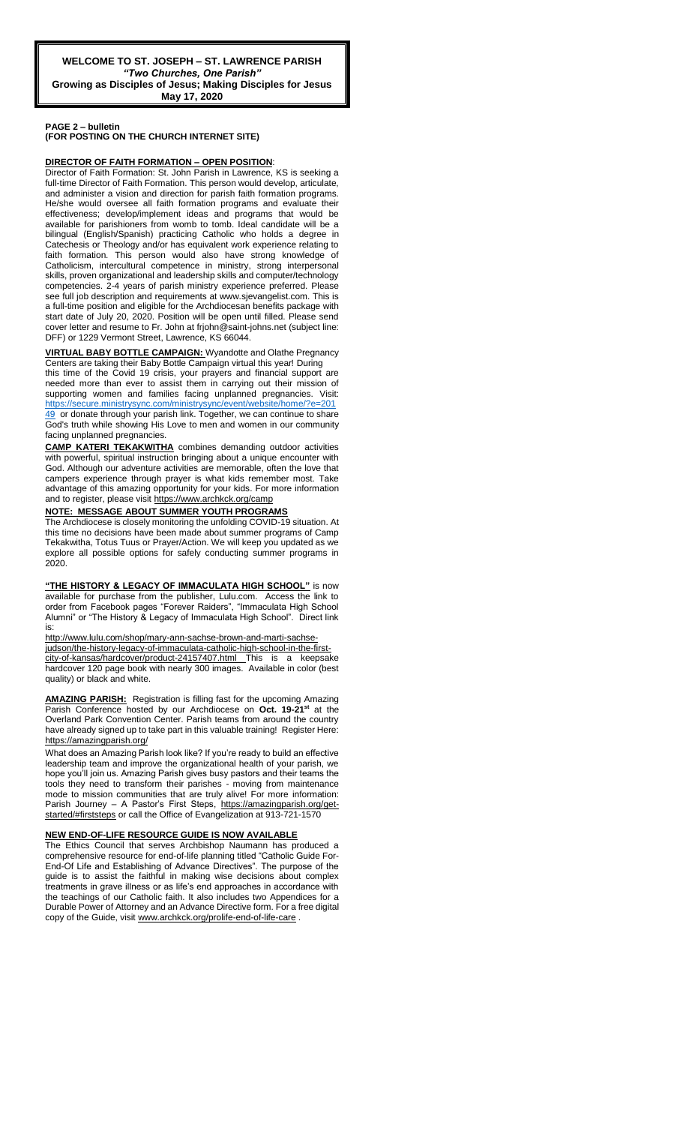**PAGE 2 – bulletin** 

**(FOR POSTING ON THE CHURCH INTERNET SITE)**

#### **DIRECTOR OF FAITH FORMATION – OPEN POSITION**:

Director of Faith Formation: St. John Parish in Lawrence, KS is seeking a full-time Director of Faith Formation. This person would develop, articulate, and administer a vision and direction for parish faith formation programs. He/she would oversee all faith formation programs and evaluate their effectiveness; develop/implement ideas and programs that would be available for parishioners from womb to tomb. Ideal candidate will be a bilingual (English/Spanish) practicing Catholic who holds a degree in Catechesis or Theology and/or has equivalent work experience relating to faith formation. This person would also have strong knowledge of Catholicism, intercultural competence in ministry, strong interpersonal skills, proven organizational and leadership skills and computer/technology competencies. 2-4 years of parish ministry experience preferred. Please see full job description and requirements at www.sjevangelist.com. This is a full-time position and eligible for the Archdiocesan benefits package with start date of July 20, 2020. Position will be open until filled. Please send cover letter and resume to Fr. John at frjohn@saint-johns.net (subject line: DFF) or 1229 Vermont Street, Lawrence, KS 66044.

#### **VIRTUAL BABY BOTTLE CAMPAIGN:** Wyandotte and Olathe Pregnancy Centers are taking their Baby Bottle Campaign virtual this year! During

this time of the Covid 19 crisis, your prayers and financial support are needed more than ever to assist them in carrying out their mission of supporting women and families facing unplanned pregnancies. Visit: [https://secure.ministrysync.com/ministrysync/event/website/home/?e=201](https://secure.ministrysync.com/ministrysync/event/website/home/?e=20149) [49](https://secure.ministrysync.com/ministrysync/event/website/home/?e=20149) or donate through your parish link. Together, we can continue to share God's truth while showing His Love to men and women in our community facing unplanned pregnancies.

**CAMP KATERI TEKAKWITHA** combines demanding outdoor activities with powerful, spiritual instruction bringing about a unique encounter with God. Although our adventure activities are memorable, often the love that campers experience through prayer is what kids remember most. Take advantage of this amazing opportunity for your kids. For more information and to register, please visit<https://www.archkck.org/camp>

### **NOTE: MESSAGE ABOUT SUMMER YOUTH PROGRAMS**

The Archdiocese is closely monitoring the unfolding COVID-19 situation. At this time no decisions have been made about summer programs of Camp Tekakwitha, Totus Tuus or Prayer/Action. We will keep you updated as we explore all possible options for safely conducting summer programs in 2020.

**"THE HISTORY & LEGACY OF IMMACULATA HIGH SCHOOL"** is now available for purchase from the publisher, Lulu.com. Access the link to order from Facebook pages "Forever Raiders", "Immaculata High School Alumni" or "The History & Legacy of Immaculata High School". Direct link is:

#### [http://www.lulu.com/shop/mary-ann-sachse-brown-and-marti-sachse-](http://www.lulu.com/shop/mary-ann-sachse-brown-and-marti-sachse-judson/the-history-legacy-of-immaculata-catholic-high-school-in-the-first-city-of-kansas/hardcover/product-24157407.html)

[judson/the-history-legacy-of-immaculata-catholic-high-school-in-the-first](http://www.lulu.com/shop/mary-ann-sachse-brown-and-marti-sachse-judson/the-history-legacy-of-immaculata-catholic-high-school-in-the-first-city-of-kansas/hardcover/product-24157407.html)[city-of-kansas/hardcover/product-24157407.html](http://www.lulu.com/shop/mary-ann-sachse-brown-and-marti-sachse-judson/the-history-legacy-of-immaculata-catholic-high-school-in-the-first-city-of-kansas/hardcover/product-24157407.html) This is a keepsake hardcover 120 page book with nearly 300 images. Available in color (best quality) or black and white.

**AMAZING PARISH:** Registration is filling fast for the upcoming Amazing Parish Conference hosted by our Archdiocese on **Oct. 19-21st** at the Overland Park Convention Center. Parish teams from around the country have already signed up to take part in this valuable training! Register Here: <https://amazingparish.org/>

What does an Amazing Parish look like? If you're ready to build an effective leadership team and improve the organizational health of your parish, we hope you'll join us. Amazing Parish gives busy pastors and their teams the tools they need to transform their parishes - moving from maintenance mode to mission communities that are truly alive! For more information: Parish Journey - A Pastor's First Steps, [https://amazingparish.org/get](https://amazingparish.org/get-started/#firststeps)[started/#firststeps](https://amazingparish.org/get-started/#firststeps) or call the Office of Evangelization at 913-721-1570

### **NEW END-OF-LIFE RESOURCE GUIDE IS NOW AVAILABLE**

The Ethics Council that serves Archbishop Naumann has produced a comprehensive resource for end-of-life planning titled "Catholic Guide For-End-Of Life and Establishing of Advance Directives". The purpose of the guide is to assist the faithful in making wise decisions about complex treatments in grave illness or as life's end approaches in accordance with the teachings of our Catholic faith. It also includes two Appendices for a Durable Power of Attorney and an Advance Directive form. For a free digital copy of the Guide, visi[t www.archkck.org/prolife-end-of-life-care](http://www.archkck.org/prolife-end-of-life-care).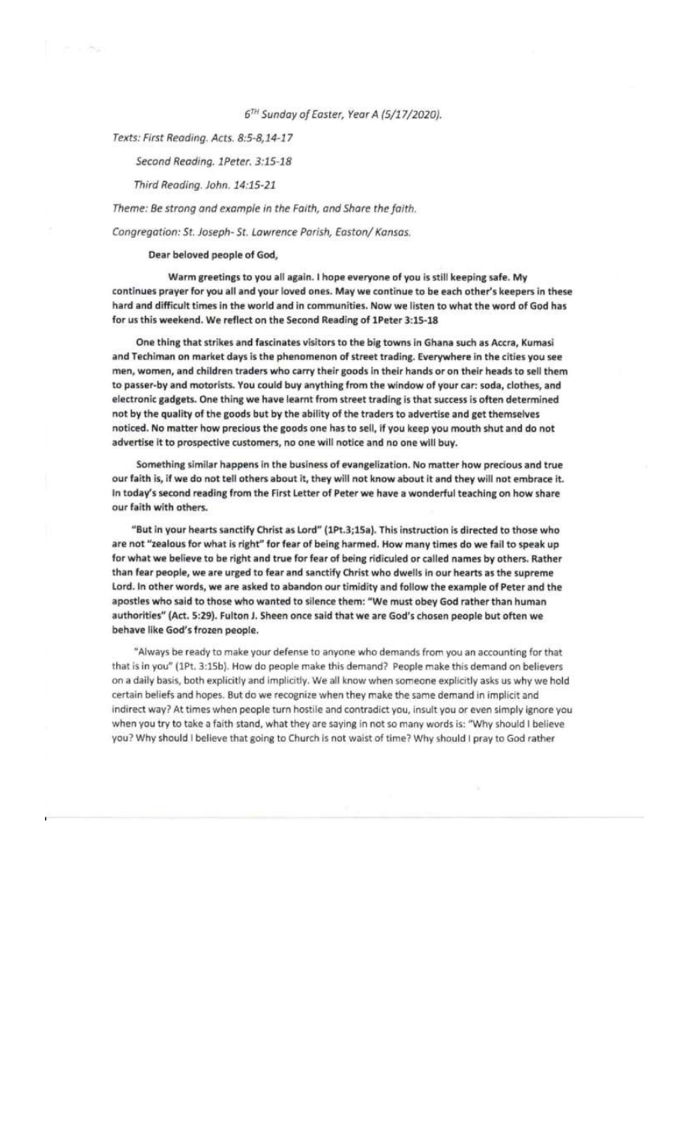## 6TH Sunday of Easter, Year A (5/17/2020).

Texts: First Reading. Acts. 8:5-8,14-17

e vite

# Second Reading. 1Peter. 3:15-18

### Third Reading. John. 14:15-21

Theme: Be strong and example in the Faith, and Share the faith.

Congregation: St. Joseph- St. Lawrence Parish, Easton/ Kansas.

## Dear beloved people of God,

Warm greetings to you all again. I hope everyone of you is still keeping safe. My continues prayer for you all and your loved ones. May we continue to be each other's keepers in these hard and difficult times in the world and in communities. Now we listen to what the word of God has for us this weekend. We reflect on the Second Reading of 1Peter 3:15-18

One thing that strikes and fascinates visitors to the big towns in Ghana such as Accra, Kumasi and Techiman on market days is the phenomenon of street trading. Everywhere in the cities you see men, women, and children traders who carry their goods in their hands or on their heads to sell them to passer-by and motorists. You could buy anything from the window of your car: soda, clothes, and electronic gadgets. One thing we have learnt from street trading is that success is often determined not by the quality of the goods but by the ability of the traders to advertise and get themselves noticed. No matter how precious the goods one has to sell, if you keep you mouth shut and do not advertise it to prospective customers, no one will notice and no one will buy.

Something similar happens in the business of evangelization. No matter how precious and true our faith is, if we do not tell others about it, they will not know about it and they will not embrace it. In today's second reading from the First Letter of Peter we have a wonderful teaching on how share our faith with others.

"But in your hearts sanctify Christ as Lord" (1Pt.3;15a). This instruction is directed to those who are not "zealous for what is right" for fear of being harmed. How many times do we fail to speak up for what we believe to be right and true for fear of being ridiculed or called names by others. Rather than fear people, we are urged to fear and sanctify Christ who dwells in our hearts as the supreme Lord. In other words, we are asked to abandon our timidity and follow the example of Peter and the apostles who said to those who wanted to silence them: "We must obey God rather than human authorities" (Act. 5:29). Fulton J. Sheen once said that we are God's chosen people but often we behave like God's frozen people.

"Always be ready to make your defense to anyone who demands from you an accounting for that that is in you" (1Pt. 3:15b). How do people make this demand? People make this demand on believers on a daily basis, both explicitly and implicitly. We all know when someone explicitly asks us why we hold certain beliefs and hopes. But do we recognize when they make the same demand in implicit and indirect way? At times when people turn hostile and contradict you, insult you or even simply ignore you when you try to take a faith stand, what they are saying in not so many words is: "Why should I believe you? Why should I believe that going to Church is not waist of time? Why should I pray to God rather